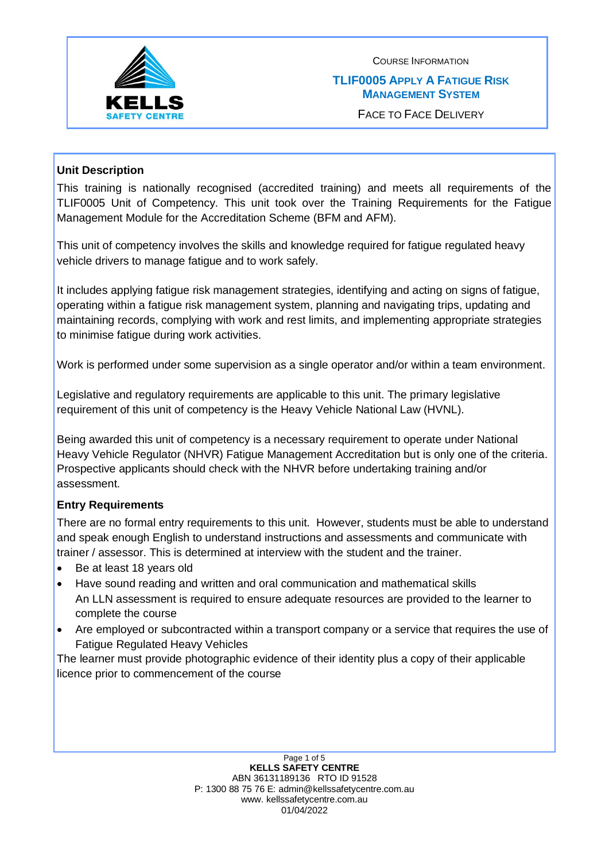

#### **TLIF0005 APPLY A FATIGUE RISK MANAGEMENT SYSTEM**

FACE TO FACE DELIVERY

# **Unit Description**

This training is nationally recognised (accredited training) and meets all requirements of the TLIF0005 Unit of Competency. This unit took over the Training Requirements for the Fatigue Management Module for the Accreditation Scheme (BFM and AFM).

This unit of competency involves the skills and knowledge required for fatigue regulated heavy vehicle drivers to manage fatigue and to work safely.

It includes applying fatigue risk management strategies, identifying and acting on signs of fatigue, operating within a fatigue risk management system, planning and navigating trips, updating and maintaining records, complying with work and rest limits, and implementing appropriate strategies to minimise fatigue during work activities.

Work is performed under some supervision as a single operator and/or within a team environment.

Legislative and regulatory requirements are applicable to this unit. The primary legislative requirement of this unit of competency is the Heavy Vehicle National Law (HVNL).

Being awarded this unit of competency is a necessary requirement to operate under National Heavy Vehicle Regulator (NHVR) Fatigue Management Accreditation but is only one of the criteria. Prospective applicants should check with the NHVR before undertaking training and/or assessment.

### **Entry Requirements**

There are no formal entry requirements to this unit. However, students must be able to understand and speak enough English to understand instructions and assessments and communicate with trainer / assessor. This is determined at interview with the student and the trainer.

- Be at least 18 years old
- Have sound reading and written and oral communication and mathematical skills An LLN assessment is required to ensure adequate resources are provided to the learner to complete the course
- Are employed or subcontracted within a transport company or a service that requires the use of Fatigue Regulated Heavy Vehicles

The learner must provide photographic evidence of their identity plus a copy of their applicable licence prior to commencement of the course

> Page 1 of 5 **KELLS SAFETY CENTRE** ABN 36131189136 RTO ID 91528 P: 1300 88 75 76 E: admin@kellssafetycentre.com.au www. kellssafetycentre.com.au 01/04/2022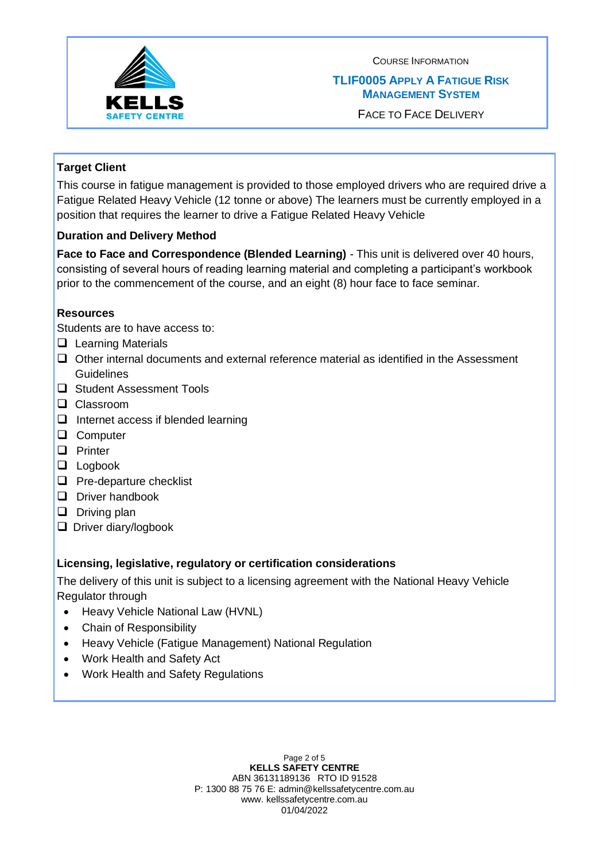

## **TLIF0005 APPLY A FATIGUE RISK MANAGEMENT SYSTEM**

FACE TO FACE DELIVERY

# **Target Client**

This course in fatigue management is provided to those employed drivers who are required drive a Fatigue Related Heavy Vehicle (12 tonne or above) The learners must be currently employed in a position that requires the learner to drive a Fatigue Related Heavy Vehicle

# **Duration and Delivery Method**

**Face to Face and Correspondence (Blended Learning)** - This unit is delivered over 40 hours, consisting of several hours of reading learning material and completing a participant's workbook prior to the commencement of the course, and an eight (8) hour face to face seminar.

### **Resources**

Students are to have access to:

- ❑ Learning Materials
- ❑ Other internal documents and external reference material as identified in the Assessment **Guidelines**
- ❑ Student Assessment Tools
- ❑ Classroom
- ❑ Internet access if blended learning
- ❑ Computer
- ❑ Printer
- ❑ Logbook
- ❑ Pre-departure checklist
- ❑ Driver handbook
- ❑ Driving plan
- ❑ Driver diary/logbook

### **Licensing, legislative, regulatory or certification considerations**

The delivery of this unit is subject to a licensing agreement with the National Heavy Vehicle Regulator through

- Heavy Vehicle National Law (HVNL)
- Chain of Responsibility
- Heavy Vehicle (Fatigue Management) National Regulation
- Work Health and Safety Act
- Work Health and Safety Regulations

Page 2 of 5 **KELLS SAFETY CENTRE** ABN 36131189136 RTO ID 91528 P: 1300 88 75 76 E: admin@kellssafetycentre.com.au www. kellssafetycentre.com.au 01/04/2022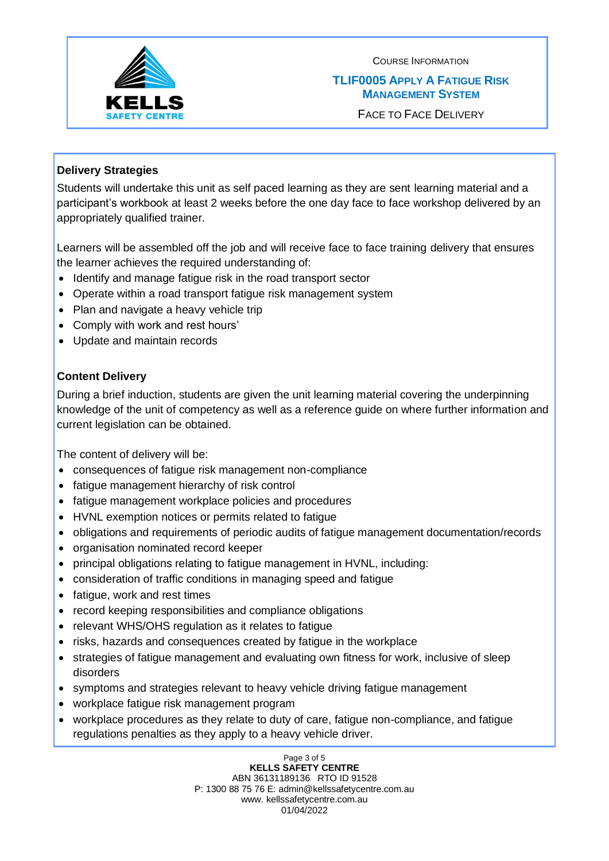

## **TLIF0005 APPLY A FATIGUE RISK MANAGEMENT SYSTEM**

FACE TO FACE DELIVERY

# **Delivery Strategies**

Students will undertake this unit as self paced learning as they are sent learning material and a participant's workbook at least 2 weeks before the one day face to face workshop delivered by an appropriately qualified trainer.

Learners will be assembled off the job and will receive face to face training delivery that ensures the learner achieves the required understanding of:

- Identify and manage fatigue risk in the road transport sector
- Operate within a road transport fatigue risk management system
- Plan and navigate a heavy vehicle trip
- Comply with work and rest hours'
- Update and maintain records

# **Content Delivery**

During a brief induction, students are given the unit learning material covering the underpinning knowledge of the unit of competency as well as a reference guide on where further information and current legislation can be obtained.

The content of delivery will be:

- consequences of fatigue risk management non-compliance
- fatigue management hierarchy of risk control
- fatigue management workplace policies and procedures
- HVNL exemption notices or permits related to fatigue
- obligations and requirements of periodic audits of fatigue management documentation/records
- organisation nominated record keeper
- principal obligations relating to fatigue management in HVNL, including:
- consideration of traffic conditions in managing speed and fatigue
- fatigue, work and rest times
- record keeping responsibilities and compliance obligations
- relevant WHS/OHS regulation as it relates to fatigue
- risks, hazards and consequences created by fatigue in the workplace
- strategies of fatigue management and evaluating own fitness for work, inclusive of sleep disorders
- symptoms and strategies relevant to heavy vehicle driving fatigue management
- workplace fatigue risk management program
- workplace procedures as they relate to duty of care, fatigue non-compliance, and fatigue regulations penalties as they apply to a heavy vehicle driver.

Page 3 of 5 **KELLS SAFETY CENTRE** ABN 36131189136 RTO ID 91528 P: 1300 88 75 76 E: admin@kellssafetycentre.com.au www. kellssafetycentre.com.au 01/04/2022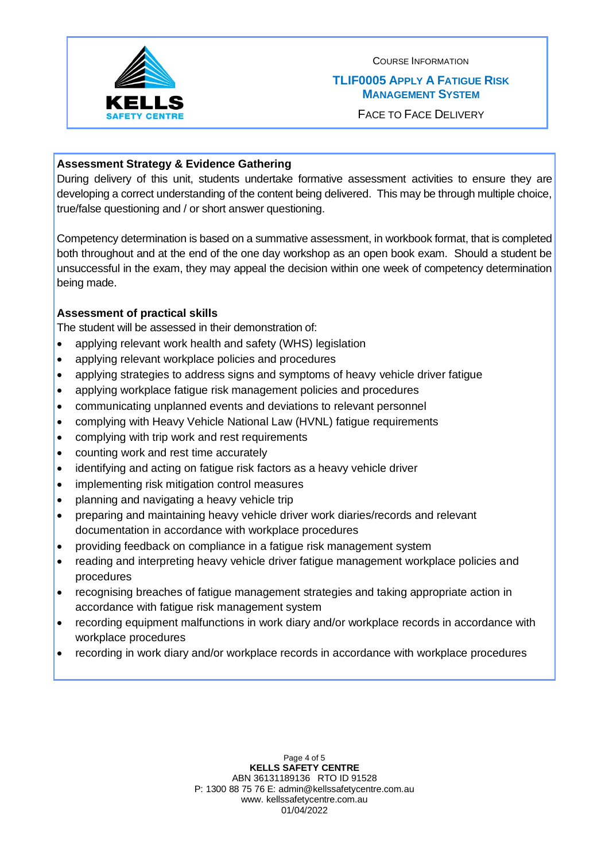

## **TLIF0005 APPLY A FATIGUE RISK MANAGEMENT SYSTEM**

FACE TO FACE DELIVERY

## **Assessment Strategy & Evidence Gathering**

During delivery of this unit, students undertake formative assessment activities to ensure they are developing a correct understanding of the content being delivered. This may be through multiple choice, true/false questioning and / or short answer questioning.

Competency determination is based on a summative assessment, in workbook format, that is completed both throughout and at the end of the one day workshop as an open book exam. Should a student be unsuccessful in the exam, they may appeal the decision within one week of competency determination being made.

# **Assessment of practical skills**

The student will be assessed in their demonstration of:

- applying relevant work health and safety (WHS) legislation
- applying relevant workplace policies and procedures
- applying strategies to address signs and symptoms of heavy vehicle driver fatigue
- applying workplace fatigue risk management policies and procedures
- communicating unplanned events and deviations to relevant personnel
- complying with Heavy Vehicle National Law (HVNL) fatigue requirements
- complying with trip work and rest requirements
- counting work and rest time accurately
- identifying and acting on fatigue risk factors as a heavy vehicle driver
- implementing risk mitigation control measures
- planning and navigating a heavy vehicle trip
- preparing and maintaining heavy vehicle driver work diaries/records and relevant documentation in accordance with workplace procedures
- providing feedback on compliance in a fatigue risk management system
- reading and interpreting heavy vehicle driver fatigue management workplace policies and procedures
- recognising breaches of fatigue management strategies and taking appropriate action in accordance with fatigue risk management system
- recording equipment malfunctions in work diary and/or workplace records in accordance with workplace procedures
- recording in work diary and/or workplace records in accordance with workplace procedures

Page 4 of 5 **KELLS SAFETY CENTRE** ABN 36131189136 RTO ID 91528 P: 1300 88 75 76 E: admin@kellssafetycentre.com.au www. kellssafetycentre.com.au 01/04/2022